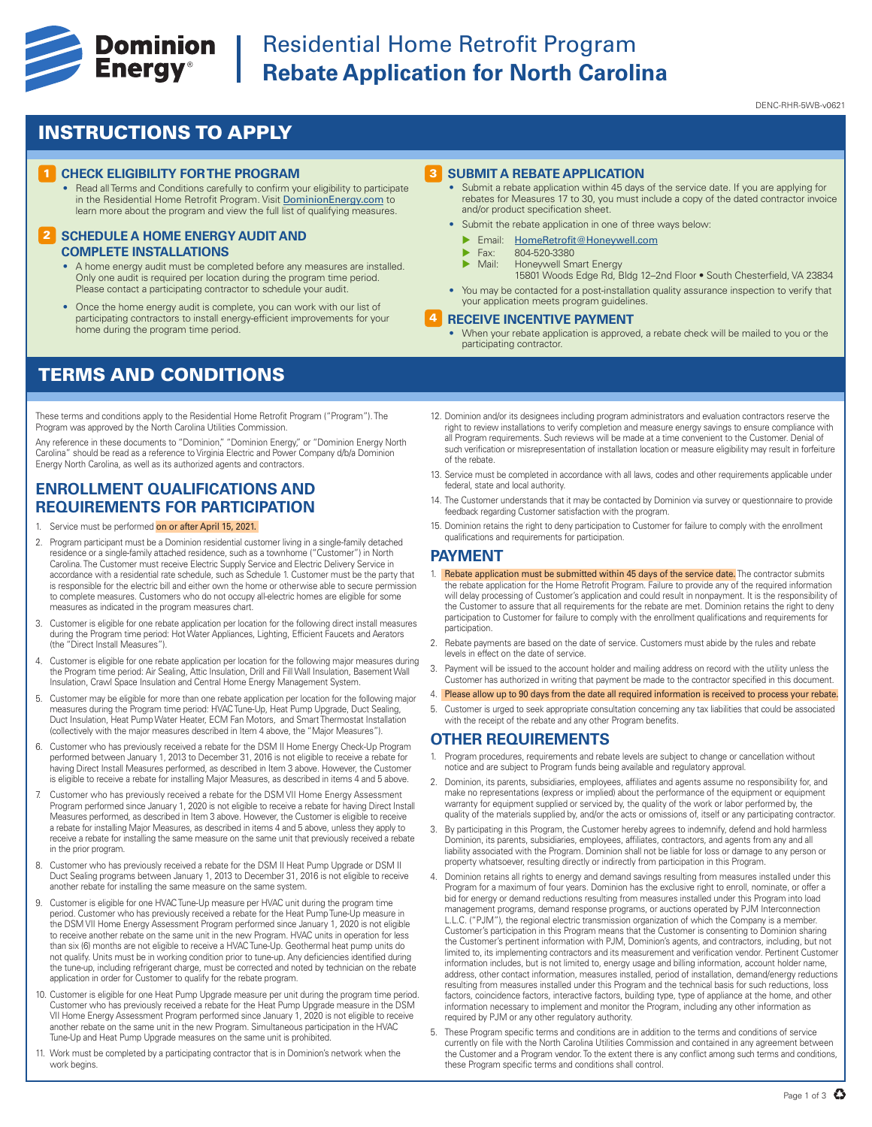

## **Experience Cominion** Residential Home Retrofit Program<br> **Energy**<sup>®</sup> Rebate Application for North Caroli **Rebate Application for North Carolina**

#### DENC-RHR-5WB-v0621

### INSTRUCTIONS TO APPLY

#### **1 CHECK ELIGIBILITY FOR THE PROGRAM**

• Read all Terms and Conditions carefully to confirm your eligibility to participate in the Residential Home Retrofit Program. Visit DominionEnergy.com to learn more about the program and view the full list of qualifying measures.

#### **2 SCHEDULE A HOME ENERGY AUDIT AND COMPLETE INSTALLATIONS**

- A home energy audit must be completed before any measures are installed. Only one audit is required per location during the program time period. Please contact a participating contractor to schedule your audit
- Once the home energy audit is complete, you can work with our list of participating contractors to install energy-efficient improvements for your home during the program time period.

### TERMS AND CONDITIONS

These terms and conditions apply to the Residential Home Retrofit Program ("Program"). The Program was approved by the North Carolina Utilities Commission.

Any reference in these documents to "Dominion," "Dominion Energy," or "Dominion Energy North Carolina" should be read as a reference to Virginia Electric and Power Company d/b/a Dominion Energy North Carolina, as well as its authorized agents and contractors.

#### **ENROLLMENT QUALIFICATIONS AND REQUIREMENTS FOR PARTICIPATION**

- 1. Service must be performed on or after April 15, 2021.
- 2. Program participant must be a Dominion residential customer living in a single-family detached residence or a single-family attached residence, such as a townhome ("Customer") in North Carolina. The Customer must receive Electric Supply Service and Electric Delivery Service in accordance with a residential rate schedule, such as Schedule 1. Customer must be the party that is responsible for the electric bill and either own the home or otherwise able to secure permission to complete measures. Customers who do not occupy all-electric homes are eligible for some measures as indicated in the program measures chart.
- 3. Customer is eligible for one rebate application per location for the following direct install measures during the Program time period: Hot Water Appliances, Lighting, Efficient Faucets and Aerators (the "Direct Install Measures").
- 4. Customer is eligible for one rebate application per location for the following major measures during the Program time period: Air Sealing, Attic Insulation, Drill and Fill Wall Insulation, Basement Wall Insulation, Crawl Space Insulation and Central Home Energy Management System.
- 5. Customer may be eligible for more than one rebate application per location for the following major measures during the Program time period: HVAC Tune-Up, Heat Pump Upgrade, Duct Sealing, Duct Insulation, Heat Pump Water Heater, ECM Fan Motors, and Smart Thermostat Installation (collectively with the major measures described in Item 4 above, the "Major Measures").
- 6. Customer who has previously received a rebate for the DSM II Home Energy Check-Up Program performed between January 1, 2013 to December 31, 2016 is not eligible to receive a rebate for having Direct Install Measures performed, as described in Item 3 above. However, the Customer is eligible to receive a rebate for installing Major Measures, as described in items 4 and 5 above.
- 7. Customer who has previously received a rebate for the DSM VII Home Energy Assessment Program performed since January 1, 2020 is not eligible to receive a rebate for having Direct Install Measures performed, as described in Item 3 above. However, the Customer is eligible to receive a rebate for installing Major Measures, as described in items 4 and 5 above, unless they apply to receive a rebate for installing the same measure on the same unit that previously received a rebate in the prior program.
- 8. Customer who has previously received a rebate for the DSM II Heat Pump Upgrade or DSM II Duct Sealing programs between January 1, 2013 to December 31, 2016 is not eligible to receive another rebate for installing the same measure on the same system.
- 9. Customer is eligible for one HVAC Tune-Up measure per HVAC unit during the program time period. Customer who has previously received a rebate for the Heat Pump Tune-Up measure in the DSM VII Home Energy Assessment Program performed since January 1, 2020 is not eligible to receive another rebate on the same unit in the new Program. HVAC units in operation for less than six (6) months are not eligible to receive a HVAC Tune-Up. Geothermal heat pump units do not qualify. Units must be in working condition prior to tune-up. Any deficiencies identified during the tune-up, including refrigerant charge, must be corrected and noted by technician on the rebate application in order for Customer to qualify for the rebate program.
- 10. Customer is eligible for one Heat Pump Upgrade measure per unit during the program time period. Customer who has previously received a rebate for the Heat Pump Upgrade measure in the DSM VII Home Energy Assessment Program performed since January 1, 2020 is not eligible to receive another rebate on the same unit in the new Program. Simultaneous participation in the HVAC Tune-Up and Heat Pump Upgrade measures on the same unit is prohibited.
- 11. Work must be completed by a participating contractor that is in Dominion's network when the work begins.

#### 3 **SUBMIT A REBATE APPLICATION**

- Submit a rebate application within 45 days of the service date. If you are applying for rebates for Measures 17 to 30, you must include a copy of the dated contractor invoice and/or product specification sheet.
- Submit the rebate application in one of three ways below:
	- **Email:** HomeRetrofit@Honeywell.com
	- $\triangleright$  Fax: 804-520-3380<br> $\triangleright$  Mail: Honeywell Sm
	- Honeywell Smart Energy
	- 15801 Woods Edge Rd, Bldg 12–2nd Floor South Chesterfield, VA 23834
- You may be contacted for a post-installation quality assurance inspection to verify that your application meets program guidelines.

#### 4 **RECEIVE INCENTIVE PAYMENT**

- When your rebate application is approved, a rebate check will be mailed to you or the participating contractor.
- 12. Dominion and/or its designees including program administrators and evaluation contractors reserve the right to review installations to verify completion and measure energy savings to ensure compliance with all Program requirements. Such reviews will be made at a time convenient to the Customer. Denial of such verification or misrepresentation of installation location or measure eligibility may result in forfeiture of the rebate.
- 13. Service must be completed in accordance with all laws, codes and other requirements applicable under federal, state and local authority
- 14. The Customer understands that it may be contacted by Dominion via survey or questionnaire to provide feedback regarding Customer satisfaction with the program.
- 15. Dominion retains the right to deny participation to Customer for failure to comply with the enrollment qualifications and requirements for participation.

#### **PAYMENT**

- 1. Rebate application must be submitted within 45 days of the service date. The contractor submits the rebate application for the Home Retrofit Program. Failure to provide any of the required information will delay processing of Customer's application and could result in nonpayment. It is the responsibility of the Customer to assure that all requirements for the rebate are met. Dominion retains the right to deny participation to Customer for failure to comply with the enrollment qualifications and requirements for participation.
- 2. Rebate payments are based on the date of service. Customers must abide by the rules and rebate levels in effect on the date of service.
- 3. Payment will be issued to the account holder and mailing address on record with the utility unless the Customer has authorized in writing that payment be made to the contractor specified in this document.
- 4. Please allow up to 90 days from the date all required information is received to process your rebate.
- 5. Customer is urged to seek appropriate consultation concerning any tax liabilities that could be associated with the receipt of the rebate and any other Program benefits

### **OTHER REQUIREMENTS**

- 1. Program procedures, requirements and rebate levels are subject to change or cancellation without notice and are subject to Program funds being available and regulatory approval.
- 2. Dominion, its parents, subsidiaries, employees, affiliates and agents assume no responsibility for, and make no representations (express or implied) about the performance of the equipment or equipment warranty for equipment supplied or serviced by, the quality of the work or labor performed by, the quality of the materials supplied by, and/or the acts or omissions of, itself or any participating contractor.
- 3. By participating in this Program, the Customer hereby agrees to indemnify, defend and hold harmless Dominion, its parents, subsidiaries, employees, affiliates, contractors, and agents from any and all liability associated with the Program. Dominion shall not be liable for loss or damage to any person or property whatsoever, resulting directly or indirectly from participation in this Program.
- 4. Dominion retains all rights to energy and demand savings resulting from measures installed under this Program for a maximum of four years. Dominion has the exclusive right to enroll, nominate, or offer a bid for energy or demand reductions resulting from measures installed under this Program into load management programs, demand response programs, or auctions operated by PJM Interconnection L.L.C. ("PJM"), the regional electric transmission organization of which the Company is a member. Customer's participation in this Program means that the Customer is consenting to Dominion sharing the Customer's pertinent information with PJM, Dominion's agents, and contractors, including, but not limited to, its implementing contractors and its measurement and verification vendor. Pertinent Customer information includes, but is not limited to, energy usage and billing information, account holder name, address, other contact information, measures installed, period of installation, demand/energy reductions resulting from measures installed under this Program and the technical basis for such reductions, loss factors, coincidence factors, interactive factors, building type, type of appliance at the home, and other information necessary to implement and monitor the Program, including any other information as required by PJM or any other regulatory authority.
- 5. These Program specific terms and conditions are in addition to the terms and conditions of service currently on file with the North Carolina Utilities Commission and contained in any agreement between the Customer and a Program vendor. To the extent there is any conflict among such terms and conditions, these Program specific terms and conditions shall control.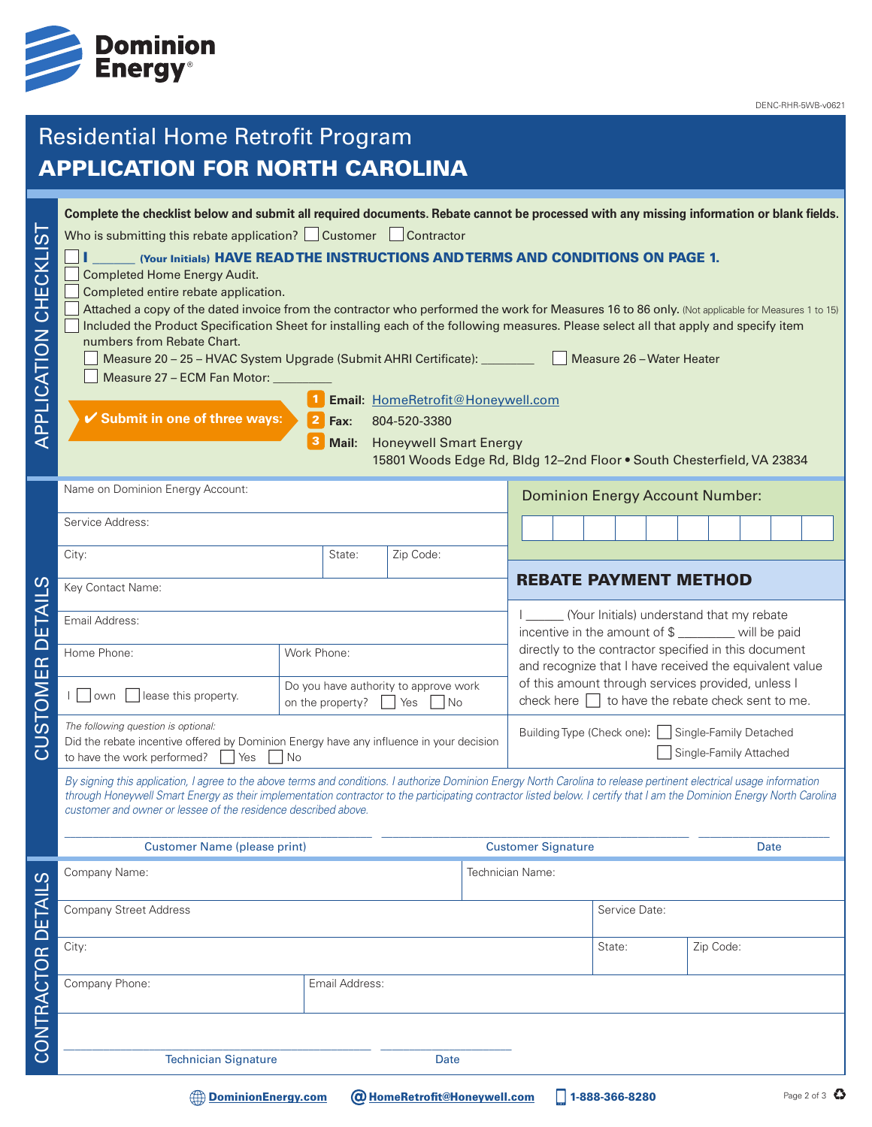

## Residential Home Retrofit Program APPLICATION FOR NORTH CAROLINA

| .<br>(<br>APPLICATION CHECKLI | Complete the checklist below and submit all required documents. Rebate cannot be processed with any missing information or blank fields.<br>Who is submitting this rebate application? Customer Contractor<br>(Your Initials) HAVE READ THE INSTRUCTIONS AND TERMS AND CONDITIONS ON PAGE 1.<br>Completed Home Energy Audit.<br>Completed entire rebate application.<br>Attached a copy of the dated invoice from the contractor who performed the work for Measures 16 to 86 only. (Not applicable for Measures 1 to 15)<br>Included the Product Specification Sheet for installing each of the following measures. Please select all that apply and specify item<br>numbers from Rebate Chart.<br>Measure 20 - 25 - HVAC System Upgrade (Submit AHRI Certificate): ________________<br>Measure 27 - ECM Fan Motor: _<br>✔ Submit in one of three ways: | $\overline{2}$<br>Fax:<br>Mail:                                             | Email: HomeRetrofit@Honeywell.com<br>804-520-3380<br><b>Honeywell Smart Energy</b> |                  |                                                                                                                  | Measure 26 - Water Heater<br>15801 Woods Edge Rd, Bldg 12-2nd Floor . South Chesterfield, VA 23834           |                              |                                                                                                 |  |  |  |  |  |
|-------------------------------|----------------------------------------------------------------------------------------------------------------------------------------------------------------------------------------------------------------------------------------------------------------------------------------------------------------------------------------------------------------------------------------------------------------------------------------------------------------------------------------------------------------------------------------------------------------------------------------------------------------------------------------------------------------------------------------------------------------------------------------------------------------------------------------------------------------------------------------------------------|-----------------------------------------------------------------------------|------------------------------------------------------------------------------------|------------------|------------------------------------------------------------------------------------------------------------------|--------------------------------------------------------------------------------------------------------------|------------------------------|-------------------------------------------------------------------------------------------------|--|--|--|--|--|
|                               | Name on Dominion Energy Account:                                                                                                                                                                                                                                                                                                                                                                                                                                                                                                                                                                                                                                                                                                                                                                                                                         |                                                                             |                                                                                    |                  |                                                                                                                  | <b>Dominion Energy Account Number:</b>                                                                       |                              |                                                                                                 |  |  |  |  |  |
|                               | Service Address:                                                                                                                                                                                                                                                                                                                                                                                                                                                                                                                                                                                                                                                                                                                                                                                                                                         |                                                                             |                                                                                    |                  |                                                                                                                  |                                                                                                              |                              |                                                                                                 |  |  |  |  |  |
|                               | City:                                                                                                                                                                                                                                                                                                                                                                                                                                                                                                                                                                                                                                                                                                                                                                                                                                                    | State:                                                                      | Zip Code:                                                                          |                  |                                                                                                                  |                                                                                                              |                              |                                                                                                 |  |  |  |  |  |
| ഗ                             | Key Contact Name:                                                                                                                                                                                                                                                                                                                                                                                                                                                                                                                                                                                                                                                                                                                                                                                                                                        |                                                                             |                                                                                    |                  |                                                                                                                  |                                                                                                              | <b>REBATE PAYMENT METHOD</b> |                                                                                                 |  |  |  |  |  |
| ш                             | Email Address:                                                                                                                                                                                                                                                                                                                                                                                                                                                                                                                                                                                                                                                                                                                                                                                                                                           |                                                                             |                                                                                    |                  |                                                                                                                  |                                                                                                              |                              | (Your Initials) understand that my rebate<br>incentive in the amount of \$ _______ will be paid |  |  |  |  |  |
| $\overline{\cap}$             | Home Phone:                                                                                                                                                                                                                                                                                                                                                                                                                                                                                                                                                                                                                                                                                                                                                                                                                                              | Work Phone:                                                                 |                                                                                    |                  | directly to the contractor specified in this document<br>and recognize that I have received the equivalent value |                                                                                                              |                              |                                                                                                 |  |  |  |  |  |
| STOMER                        | lease this property.<br>l   lown                                                                                                                                                                                                                                                                                                                                                                                                                                                                                                                                                                                                                                                                                                                                                                                                                         | Do you have authority to approve work<br>on the property?<br>  Yes          |                                                                                    |                  |                                                                                                                  | of this amount through services provided, unless I<br>check here $\Box$ to have the rebate check sent to me. |                              |                                                                                                 |  |  |  |  |  |
| -<br>O                        | The following question is optional:<br>Did the rebate incentive offered by Dominion Energy have any influence in your decision<br>to have the work performed?<br>Yes                                                                                                                                                                                                                                                                                                                                                                                                                                                                                                                                                                                                                                                                                     | Building Type (Check one): Single-Family Detached<br>Single-Family Attached |                                                                                    |                  |                                                                                                                  |                                                                                                              |                              |                                                                                                 |  |  |  |  |  |
|                               | By signing this application, I agree to the above terms and conditions. I authorize Dominion Energy North Carolina to release pertinent electrical usage information<br>through Honeywell Smart Energy as their implementation contractor to the participating contractor listed below. I certify that I am the Dominion Energy North Carolina<br>customer and owner or lessee of the residence described above.                                                                                                                                                                                                                                                                                                                                                                                                                                         |                                                                             |                                                                                    |                  |                                                                                                                  |                                                                                                              |                              |                                                                                                 |  |  |  |  |  |
|                               | <b>Customer Name (please print)</b>                                                                                                                                                                                                                                                                                                                                                                                                                                                                                                                                                                                                                                                                                                                                                                                                                      |                                                                             | <b>Customer Signature</b>                                                          |                  |                                                                                                                  | <b>Date</b>                                                                                                  |                              |                                                                                                 |  |  |  |  |  |
|                               | Company Name:                                                                                                                                                                                                                                                                                                                                                                                                                                                                                                                                                                                                                                                                                                                                                                                                                                            |                                                                             |                                                                                    | Technician Name: |                                                                                                                  |                                                                                                              |                              |                                                                                                 |  |  |  |  |  |
|                               | <b>Company Street Address</b>                                                                                                                                                                                                                                                                                                                                                                                                                                                                                                                                                                                                                                                                                                                                                                                                                            |                                                                             |                                                                                    |                  |                                                                                                                  | Service Date:                                                                                                |                              |                                                                                                 |  |  |  |  |  |
|                               | City:                                                                                                                                                                                                                                                                                                                                                                                                                                                                                                                                                                                                                                                                                                                                                                                                                                                    |                                                                             |                                                                                    |                  |                                                                                                                  | State:                                                                                                       | Zip Code:                    |                                                                                                 |  |  |  |  |  |
| CONTRACTOR DETAILS            | Company Phone:                                                                                                                                                                                                                                                                                                                                                                                                                                                                                                                                                                                                                                                                                                                                                                                                                                           | Email Address:                                                              |                                                                                    |                  |                                                                                                                  |                                                                                                              |                              |                                                                                                 |  |  |  |  |  |
|                               |                                                                                                                                                                                                                                                                                                                                                                                                                                                                                                                                                                                                                                                                                                                                                                                                                                                          |                                                                             |                                                                                    |                  |                                                                                                                  |                                                                                                              |                              |                                                                                                 |  |  |  |  |  |
|                               | <b>Technician Signature</b>                                                                                                                                                                                                                                                                                                                                                                                                                                                                                                                                                                                                                                                                                                                                                                                                                              |                                                                             |                                                                                    |                  |                                                                                                                  |                                                                                                              |                              |                                                                                                 |  |  |  |  |  |
|                               | <b>DominionEnergy.com</b>                                                                                                                                                                                                                                                                                                                                                                                                                                                                                                                                                                                                                                                                                                                                                                                                                                |                                                                             | <b>@ HomeRetrofit@Honeywell.com</b>                                                |                  |                                                                                                                  | 1-888-366-8280                                                                                               |                              | Page 2 of 3 $\bullet$                                                                           |  |  |  |  |  |